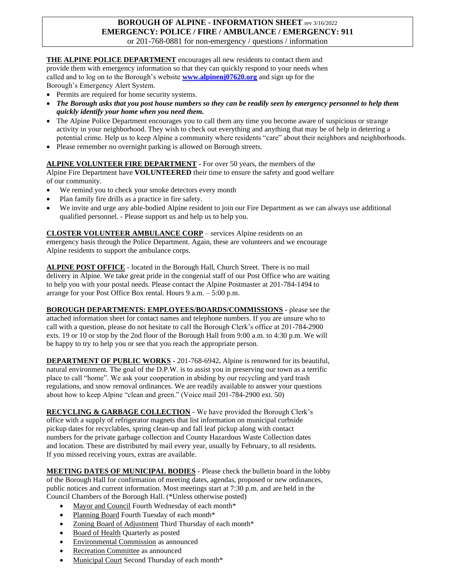# **BOROUGH OF ALPINE - INFORMATION SHEET** rev 3/16/2022 **EMERGENCY: POLICE / FIRE / AMBULANCE / EMERGENCY: 911**

or 201-768-0881 for non-emergency / questions / information

### THE ALPINE POLICE DEPARTMENT encourages all new residents to contact them and

provide them with emergency information so that they can quickly respond to your needs when called and to log on to the Borough's website **www.alpinenj07620.org** and sign up for the Borough's Emergency Alert System.

- Permits are required for home security systems.
- *The Borough asks that you post house numbers so they can be readily seen by emergency personnel to help them quickly identify your home when you need them.*
- The Alpine Police Department encourages you to call them any time you become aware of suspicious or strange activity in your neighborhood. They wish to check out everything and anything that may be of help in deterring a potential crime. Help us to keep Alpine a community where residents "care" about their neighbors and neighborhoods.
- Please remember no overnight parking is allowed on Borough streets.

### **ALPINE VOLUNTEER FIRE DEPARTMENT -** For over 50 years, the members of the

Alpine Fire Department have **VOLUNTEERED** their time to ensure the safety and good welfare of our community.

- We remind you to check your smoke detectors every month
- Plan family fire drills as a practice in fire safety.
- We invite and urge any able-bodied Alpine resident to join our Fire Department as we can always use additional qualified personnel. - Please support us and help us to help you.

**CLOSTER VOLUNTEER AMBULANCE CORP** – services Alpine residents on an emergency basis through the Police Department. Again, these are volunteers and we encourage Alpine residents to support the ambulance corps.

**ALPINE POST OFFICE** - located in the Borough Hall, Church Street. There is no mail delivery in Alpine. We take great pride in the congenial staff of our Post Office who are waiting to help you with your postal needs. Please contact the Alpine Postmaster at 201-784-1494 to arrange for your Post Office Box rental. Hours 9 a.m. – 5:00 p.m.

**BOROUGH DEPARTMENTS: EMPLOYEES/BOARDS/COMMISSIONS -** please see the attached information sheet for contact names and telephone numbers. If you are unsure who to call with a question, please do not hesitate to call the Borough Clerk's office at 201-784-2900 exts. 19 or 10 or stop by the 2nd floor of the Borough Hall from 9:00 a.m. to 4:30 p.m. We will be happy to try to help you or see that you reach the appropriate person.

**DEPARTMENT OF PUBLIC WORKS -** 201-768-6942**.** Alpine is renowned for its beautiful, natural environment. The goal of the D.P.W. is to assist you in preserving our town as a terrific place to call "home". We ask your cooperation in abiding by our recycling and yard trash regulations, and snow removal ordinances. We are readily available to answer your questions about how to keep Alpine "clean and green." (Voice mail 201-784-2900 ext. 50)

**RECYCLING & GARBAGE COLLECTION** - We have provided the Borough Clerk's office with a supply of refrigerator magnets that list information on municipal curbside pickup dates for recyclables, spring clean-up and fall leaf pickup along with contact numbers for the private garbage collection and County Hazardous Waste Collection dates and location. These are distributed by mail every year, usually by February, to all residents. If you missed receiving yours, extras are available.

**MEETING DATES OF MUNICIPAL BODIES** - Please check the bulletin board in the lobby of the Borough Hall for confirmation of meeting dates, agendas, proposed or new ordinances, public notices and current information. Most meetings start at 7:30 p.m. and are held in the Council Chambers of the Borough Hall. (\*Unless otherwise posted)

- Mayor and Council Fourth Wednesday of each month\*
- Planning Board Fourth Tuesday of each month\*
- Zoning Board of Adjustment Third Thursday of each month\*
- Board of Health Quarterly as posted
- Environmental Commission as announced
- Recreation Committee as announced
- Municipal Court Second Thursday of each month\*